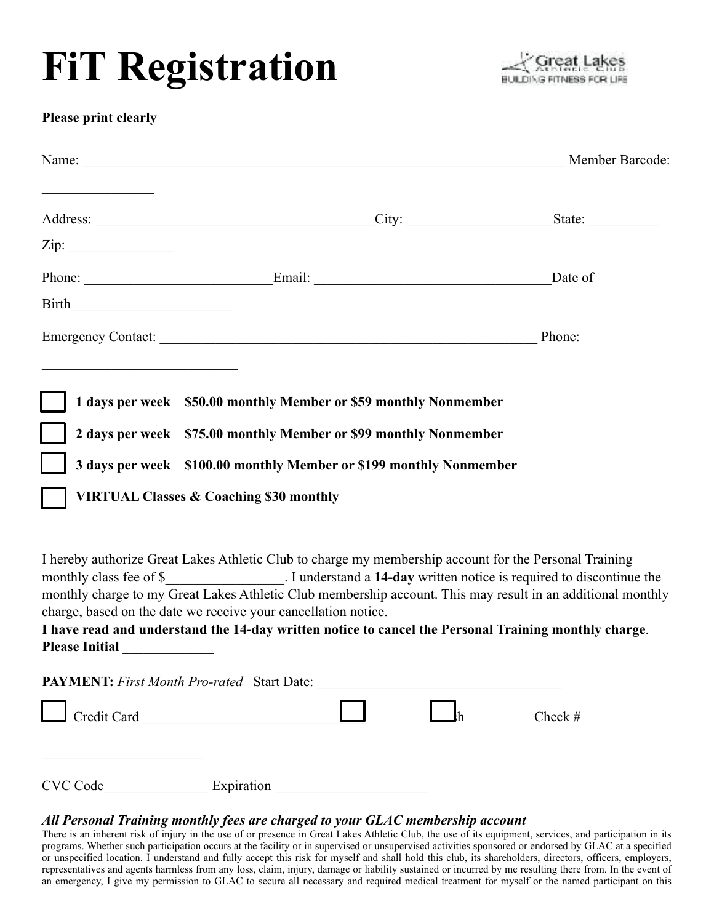## **FiT Registration**



## **Please print clearly**

|                                                                |                                                                                                                                                                                                                                | Name: Member Barcode:                                                                                                                                                                                                                                                                                                                  |
|----------------------------------------------------------------|--------------------------------------------------------------------------------------------------------------------------------------------------------------------------------------------------------------------------------|----------------------------------------------------------------------------------------------------------------------------------------------------------------------------------------------------------------------------------------------------------------------------------------------------------------------------------------|
|                                                                |                                                                                                                                                                                                                                |                                                                                                                                                                                                                                                                                                                                        |
|                                                                |                                                                                                                                                                                                                                |                                                                                                                                                                                                                                                                                                                                        |
|                                                                | Phone: <u>Email:</u> Email:                                                                                                                                                                                                    | Date of                                                                                                                                                                                                                                                                                                                                |
|                                                                |                                                                                                                                                                                                                                |                                                                                                                                                                                                                                                                                                                                        |
|                                                                | Emergency Contact: New York Contact: New York Contact: New York Contact: New York Contact: New York Contact: New York Contact: New York Contact: New York Contact: New York Contact: New York Contact: New York Contact: New Y | Phone:                                                                                                                                                                                                                                                                                                                                 |
| <b>VIRTUAL Classes &amp; Coaching \$30 monthly</b>             | 1 days per week \$50.00 monthly Member or \$59 monthly Nonmember<br>2 days per week \$75.00 monthly Member or \$99 monthly Nonmember<br>3 days per week \$100.00 monthly Member or \$199 monthly Nonmember                     |                                                                                                                                                                                                                                                                                                                                        |
| charge, based on the date we receive your cancellation notice. | I hereby authorize Great Lakes Athletic Club to charge my membership account for the Personal Training                                                                                                                         | monthly class fee of \$___________________. I understand a 14-day written notice is required to discontinue the<br>monthly charge to my Great Lakes Athletic Club membership account. This may result in an additional monthly<br>I have read and understand the 14-day written notice to cancel the Personal Training monthly charge. |
| <b>Please Initial</b>                                          |                                                                                                                                                                                                                                |                                                                                                                                                                                                                                                                                                                                        |

| <b>PAYMENT:</b> First Month Pro-rated Start Date: |            |  |           |
|---------------------------------------------------|------------|--|-----------|
| $\Box$ Credit Card                                |            |  | Check $#$ |
|                                                   |            |  |           |
| CVC Code                                          | Expiration |  |           |

## *All Personal Training monthly fees are charged to your GLAC membership account*

There is an inherent risk of injury in the use of or presence in Great Lakes Athletic Club, the use of its equipment, services, and participation in its programs. Whether such participation occurs at the facility or in supervised or unsupervised activities sponsored or endorsed by GLAC at a specified or unspecified location. I understand and fully accept this risk for myself and shall hold this club, its shareholders, directors, officers, employers, representatives and agents harmless from any loss, claim, injury, damage or liability sustained or incurred by me resulting there from. In the event of an emergency, I give my permission to GLAC to secure all necessary and required medical treatment for myself or the named participant on this